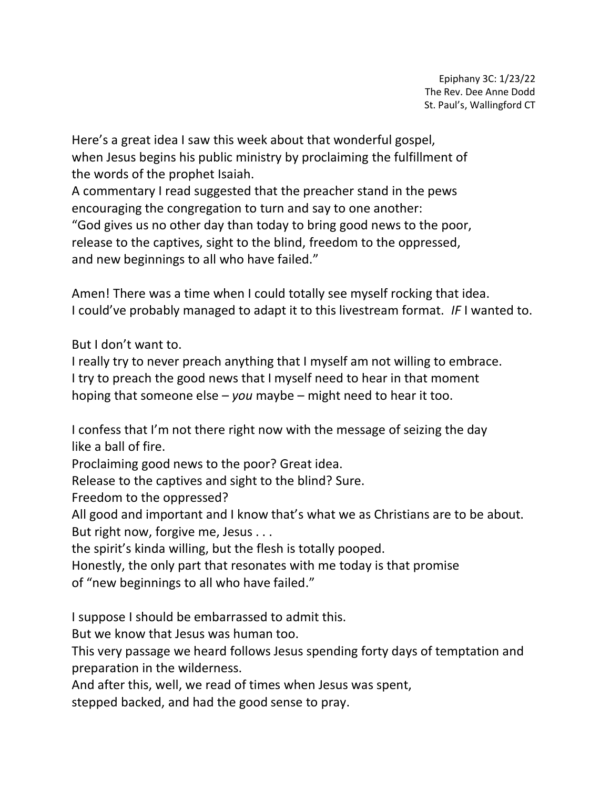Epiphany 3C: 1/23/22 The Rev. Dee Anne Dodd St. Paul's, Wallingford CT

Here's a great idea I saw this week about that wonderful gospel, when Jesus begins his public ministry by proclaiming the fulfillment of the words of the prophet Isaiah.

A commentary I read suggested that the preacher stand in the pews encouraging the congregation to turn and say to one another: "God gives us no other day than today to bring good news to the poor, release to the captives, sight to the blind, freedom to the oppressed, and new beginnings to all who have failed."

Amen! There was a time when I could totally see myself rocking that idea. I could've probably managed to adapt it to this livestream format. *IF* I wanted to.

But I don't want to.

I really try to never preach anything that I myself am not willing to embrace. I try to preach the good news that I myself need to hear in that moment hoping that someone else – *you* maybe – might need to hear it too.

I confess that I'm not there right now with the message of seizing the day like a ball of fire.

Proclaiming good news to the poor? Great idea.

Release to the captives and sight to the blind? Sure.

Freedom to the oppressed?

All good and important and I know that's what we as Christians are to be about. But right now, forgive me, Jesus . . .

the spirit's kinda willing, but the flesh is totally pooped.

Honestly, the only part that resonates with me today is that promise

of "new beginnings to all who have failed."

I suppose I should be embarrassed to admit this.

But we know that Jesus was human too.

This very passage we heard follows Jesus spending forty days of temptation and preparation in the wilderness.

And after this, well, we read of times when Jesus was spent,

stepped backed, and had the good sense to pray.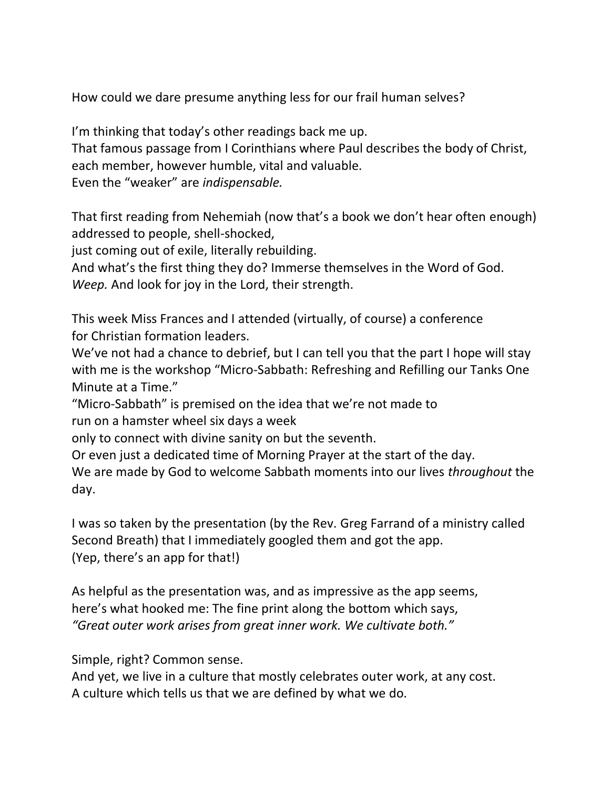How could we dare presume anything less for our frail human selves?

I'm thinking that today's other readings back me up. That famous passage from I Corinthians where Paul describes the body of Christ, each member, however humble, vital and valuable. Even the "weaker" are *indispensable.*

That first reading from Nehemiah (now that's a book we don't hear often enough) addressed to people, shell-shocked,

just coming out of exile, literally rebuilding.

And what's the first thing they do? Immerse themselves in the Word of God. *Weep.* And look for joy in the Lord, their strength.

This week Miss Frances and I attended (virtually, of course) a conference for Christian formation leaders.

We've not had a chance to debrief, but I can tell you that the part I hope will stay with me is the workshop "Micro-Sabbath: Refreshing and Refilling our Tanks One Minute at a Time."

"Micro-Sabbath" is premised on the idea that we're not made to run on a hamster wheel six days a week

only to connect with divine sanity on but the seventh.

Or even just a dedicated time of Morning Prayer at the start of the day.

We are made by God to welcome Sabbath moments into our lives *throughout* the day.

I was so taken by the presentation (by the Rev. Greg Farrand of a ministry called Second Breath) that I immediately googled them and got the app. (Yep, there's an app for that!)

As helpful as the presentation was, and as impressive as the app seems, here's what hooked me: The fine print along the bottom which says, *"Great outer work arises from great inner work. We cultivate both."*

Simple, right? Common sense.

And yet, we live in a culture that mostly celebrates outer work, at any cost. A culture which tells us that we are defined by what we do.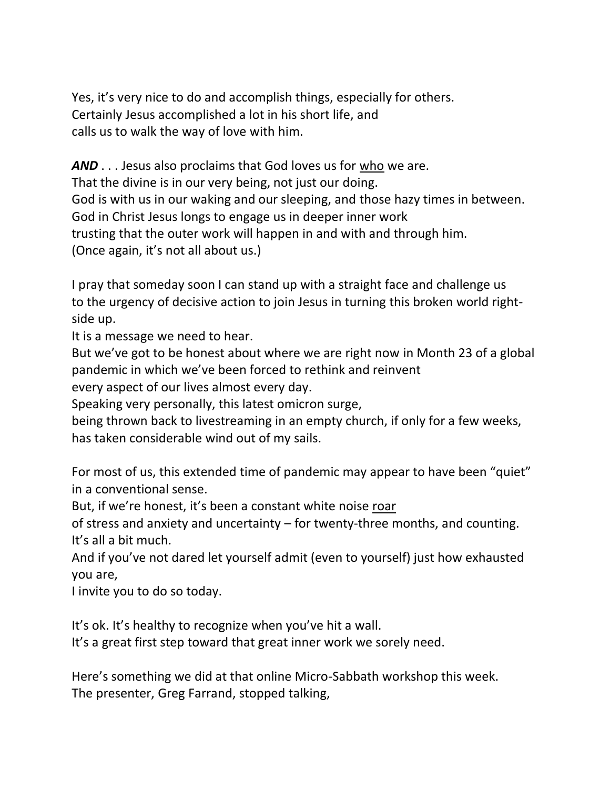Yes, it's very nice to do and accomplish things, especially for others. Certainly Jesus accomplished a lot in his short life, and calls us to walk the way of love with him.

*AND* . . . Jesus also proclaims that God loves us for who we are. That the divine is in our very being, not just our doing. God is with us in our waking and our sleeping, and those hazy times in between. God in Christ Jesus longs to engage us in deeper inner work trusting that the outer work will happen in and with and through him. (Once again, it's not all about us.)

I pray that someday soon I can stand up with a straight face and challenge us to the urgency of decisive action to join Jesus in turning this broken world rightside up.

It is a message we need to hear.

But we've got to be honest about where we are right now in Month 23 of a global pandemic in which we've been forced to rethink and reinvent

every aspect of our lives almost every day.

Speaking very personally, this latest omicron surge,

being thrown back to livestreaming in an empty church, if only for a few weeks, has taken considerable wind out of my sails.

For most of us, this extended time of pandemic may appear to have been "quiet" in a conventional sense.

But, if we're honest, it's been a constant white noise roar

of stress and anxiety and uncertainty – for twenty-three months, and counting. It's all a bit much.

And if you've not dared let yourself admit (even to yourself) just how exhausted you are,

I invite you to do so today.

It's ok. It's healthy to recognize when you've hit a wall.

It's a great first step toward that great inner work we sorely need.

Here's something we did at that online Micro-Sabbath workshop this week. The presenter, Greg Farrand, stopped talking,